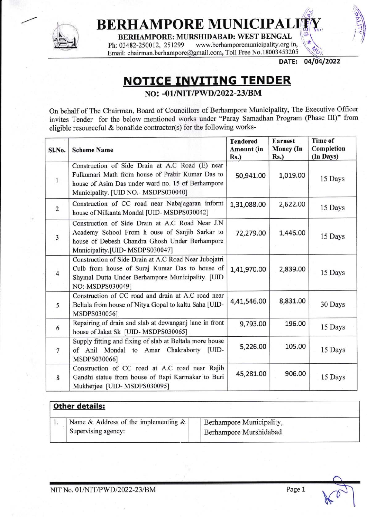

## **BERHAMPORE MUNICIPAL**  $\mathbb{E}[\mathbf{w}_1: \mathbb{R}^2]$

**BERHAMPORE: MURSHIDABAD: WEST BENGAL**<br>Ph: 03482-250012, 251299 www.berhamporemunicipality.org.i www.berhamporemunicipality.org.in,

Email: chairman.berhampore@gmail.com, Toll Free No.18003453205

DATE: 04/04/2022

\*

 $\overline{\phantom{a}}$ 

## **NOTICE INVITING TENDER**

NO: -01/NIT/PWD/2022-23/BM

On behalf of The Chairman, Board of Councillors of Berhampore Municipality, The Executive Officer invites Tender for the below mentioned works under "Paray Samadhan Program (Phase III)" from eligible resourceful & bonafide contractor(s) for the following works-

| Sl.No.         | <b>Scheme Name</b>                                                                                                                                                                               | <b>Tendered</b><br>Amount (in<br>$Rs.$ ) | <b>Earnest</b><br>Money (In<br>Rs.) | <b>Time of</b><br>Completion<br>(In Days) |
|----------------|--------------------------------------------------------------------------------------------------------------------------------------------------------------------------------------------------|------------------------------------------|-------------------------------------|-------------------------------------------|
| $\mathbf{1}$   | Construction of Side Drain at A.C Road (E) near<br>Fulkumari Math from house of Prabir Kumar Das to<br>house of Asim Das under ward no. 15 of Berhampore<br>Municipality. [UID NO.- MSDPS030040] | 50,941.00                                | 1,019.00                            | 15 Days                                   |
| $\overline{2}$ | Construction of CC road near Nabajagaran infornt<br>house of Nilkanta Mondal [UID- MSDPS030042]                                                                                                  | 1,31,088.00                              | 2,622.00                            | 15 Days                                   |
| $\overline{3}$ | Construction of Side Drain at A.C Road Near J.N<br>Academy School From h ouse of Sanjib Sarkar to<br>house of Debesh Chandra Ghosh Under Berhampore<br>Municipality.[UID-MSDPS030047]            | 72,279.00                                | 1,446.00                            | 15 Days                                   |
| $\overline{4}$ | Construction of Side Drain at A.C Road Near Jubojatri<br>Culb from house of Suraj Kumar Das to house of<br>Shymal Dutta Under Berhampore Municipality. [UID<br>NO:-MSDPS030049]                  | 1,41,970.00                              | 2,839.00                            | 15 Days                                   |
| 5              | Construction of CC road and drain at A.C road near<br>Beltala from house of Nitya Gopal to kaltu Saha [UID-<br>MSDPS030056]                                                                      | 4,41,546.00                              | 8,831.00                            | 30 Days                                   |
| 6              | Repairing of drain and slab at dewanganj lane in front<br>house of Jakat Sk [UID- MSDPS030065]                                                                                                   | 9,793.00                                 | 196.00                              | 15 Days                                   |
| $\overline{7}$ | Supply fitting and fixing of slab at Beltala more house<br>of Anil Mondal to Amar Chakraborty [UID-<br>MSDPS030066]                                                                              | 5,226.00                                 | 105.00                              | 15 Days                                   |
| 8              | Construction of CC road at A.C road near Rajib<br>Gandhi statue from house of Bapi Karmakar to Buri<br>Mukherjee [UID-MSDPS030095]                                                               | 45,281.00                                | 906.00                              | 15 Days                                   |

| Other details:                          |                          |  |
|-----------------------------------------|--------------------------|--|
| Name & Address of the implementing $\&$ | Berhampore Municipality, |  |
| Supervising agency:                     | Berhampore Murshidabad   |  |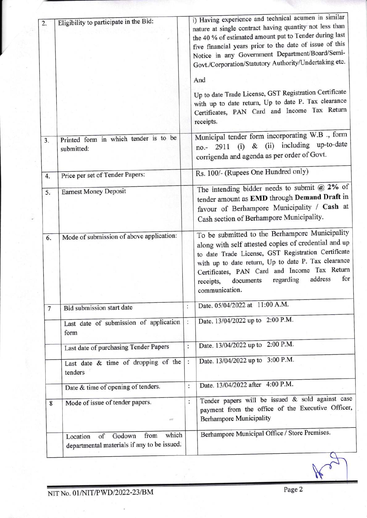| 3.             | Printed form in which tender is to be<br>submitted:                                      |                      | And<br>Up to date Trade License, GST Registration Certificate<br>with up to date return, Up to date P. Tax clearance<br>Certificates, PAN Card and Income Tax Return<br>receipts.                                                                                                                                                               |
|----------------|------------------------------------------------------------------------------------------|----------------------|-------------------------------------------------------------------------------------------------------------------------------------------------------------------------------------------------------------------------------------------------------------------------------------------------------------------------------------------------|
|                |                                                                                          |                      |                                                                                                                                                                                                                                                                                                                                                 |
|                |                                                                                          |                      |                                                                                                                                                                                                                                                                                                                                                 |
|                |                                                                                          |                      | Municipal tender form incorporating W.B ., form<br>& (ii) including up-to-date<br>(i)<br>2911<br>no.-<br>corrigenda and agenda as per order of Govt.                                                                                                                                                                                            |
| 4.             | Price per set of Tender Papers:                                                          |                      | Rs. 100/- (Rupees One Hundred only)                                                                                                                                                                                                                                                                                                             |
| 5.             | <b>Earnest Money Deposit</b>                                                             |                      | The intending bidder needs to submit $@2\%$ of<br>tender amount as EMD through Demand Draft in<br>favour of Berhampore Municipality / Cash at<br>Cash section of Berhampore Municipality.                                                                                                                                                       |
| 6.             | Mode of submission of above application:                                                 |                      | To be submitted to the Berhampore Municipality<br>along with self attested copies of credential and up<br>to date Trade License, GST Registration Certificate<br>with up to date return, Up to date P. Tax clearance<br>Certificates, PAN Card and Income Tax Return<br>for<br>address<br>regarding<br>documents<br>receipts,<br>communication. |
| $\overline{7}$ | <b>Bid submission start date</b>                                                         | $\ddot{\cdot}$       | Date. 05/04/2022 at 11:00 A.M.                                                                                                                                                                                                                                                                                                                  |
|                | Last date of submission of application<br>form                                           | $\ddot{\phantom{a}}$ | Date. 13/04/2022 up to 2:00 P.M.                                                                                                                                                                                                                                                                                                                |
|                | Last date of purchasing Tender Papers                                                    | $\ddot{\cdot}$       | Date. 13/04/2022 up to 2:00 P.M.                                                                                                                                                                                                                                                                                                                |
|                | Last date & time of dropping of the<br>tenders                                           | $\ddot{\cdot}$       | Date. 13/04/2022 up to 3:00 P.M.                                                                                                                                                                                                                                                                                                                |
|                | Date & time of opening of tenders.                                                       | $\ddot{\phantom{a}}$ | Date. 13/04/2022 after 4:00 P.M.                                                                                                                                                                                                                                                                                                                |
| 8              | Mode of issue of tender papers.<br>in.                                                   | $\vdots$             | Tender papers will be issued & sold against case<br>payment from the office of the Executive Officer,<br><b>Berhampore Municipality</b>                                                                                                                                                                                                         |
|                | which<br>from<br>Godown<br>of<br>Location<br>departmental materials if any to be issued. |                      | Berhampore Municipal Office / Store Premises.                                                                                                                                                                                                                                                                                                   |

 $\mu$